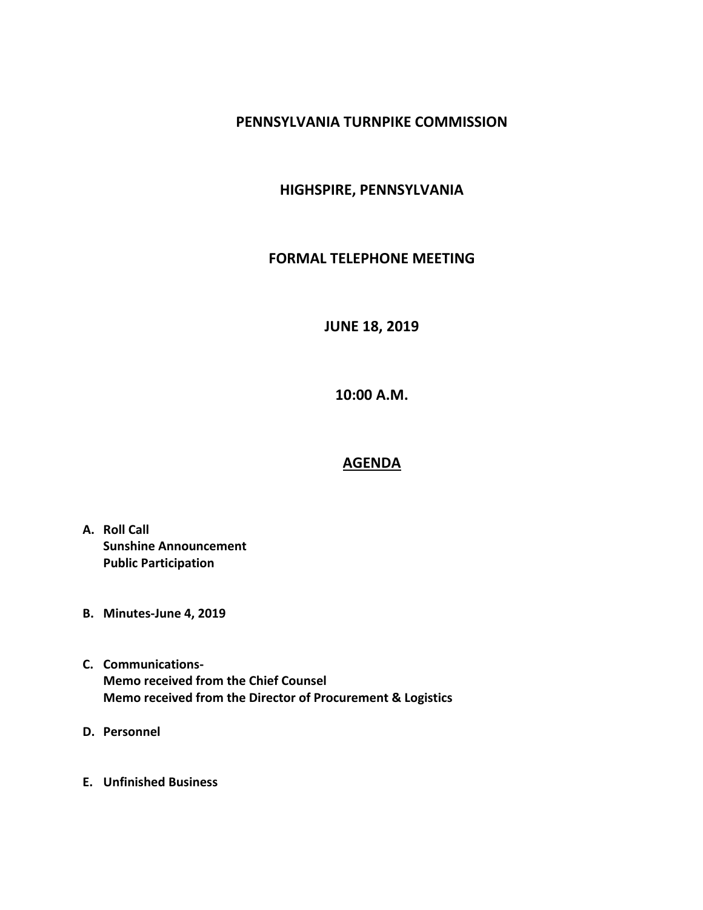## **PENNSYLVANIA TURNPIKE COMMISSION**

## **HIGHSPIRE, PENNSYLVANIA**

#### **FORMAL TELEPHONE MEETING**

# **JUNE 18, 2019**

**10:00 A.M.**

## **AGENDA**

- **A. Roll Call Sunshine Announcement Public Participation**
- **B. Minutes-June 4, 2019**
- **C. Communications-Memo received from the Chief Counsel Memo received from the Director of Procurement & Logistics**
- **D. Personnel**
- **E. Unfinished Business**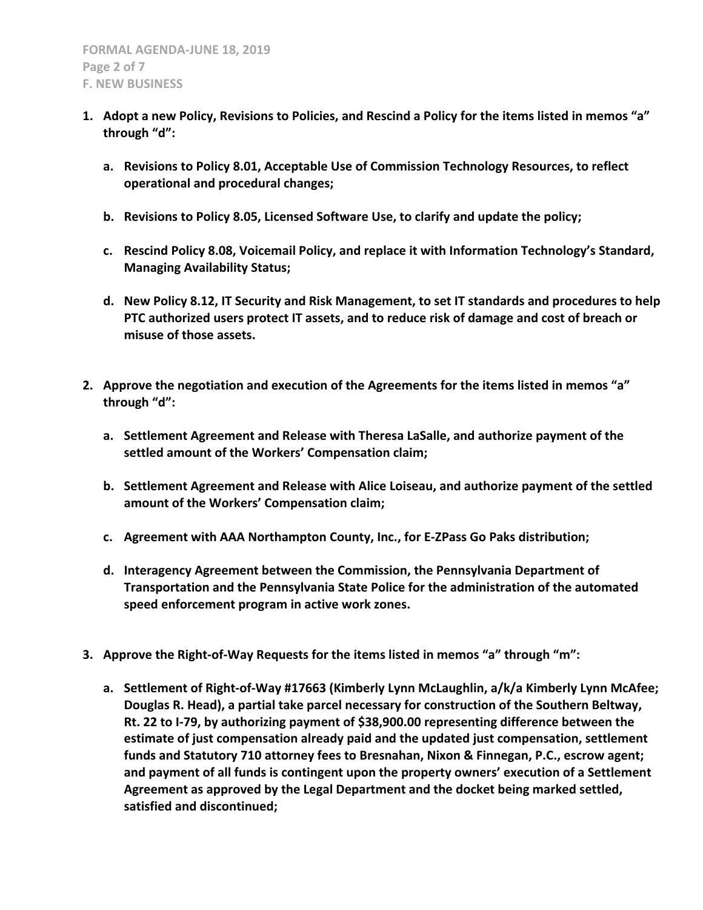- **1. Adopt a new Policy, Revisions to Policies, and Rescind a Policy for the items listed in memos "a" through "d":**
	- **a. Revisions to Policy 8.01, Acceptable Use of Commission Technology Resources, to reflect operational and procedural changes;**
	- **b. Revisions to Policy 8.05, Licensed Software Use, to clarify and update the policy;**
	- **c. Rescind Policy 8.08, Voicemail Policy, and replace it with Information Technology's Standard, Managing Availability Status;**
	- **d. New Policy 8.12, IT Security and Risk Management, to set IT standards and procedures to help PTC authorized users protect IT assets, and to reduce risk of damage and cost of breach or misuse of those assets.**
- **2. Approve the negotiation and execution of the Agreements for the items listed in memos "a" through "d":**
	- **a. Settlement Agreement and Release with Theresa LaSalle, and authorize payment of the settled amount of the Workers' Compensation claim;**
	- **b. Settlement Agreement and Release with Alice Loiseau, and authorize payment of the settled amount of the Workers' Compensation claim;**
	- **c. Agreement with AAA Northampton County, Inc., for E-ZPass Go Paks distribution;**
	- **d. Interagency Agreement between the Commission, the Pennsylvania Department of Transportation and the Pennsylvania State Police for the administration of the automated speed enforcement program in active work zones.**
- **3. Approve the Right-of-Way Requests for the items listed in memos "a" through "m":**
	- **a. Settlement of Right-of-Way #17663 (Kimberly Lynn McLaughlin, a/k/a Kimberly Lynn McAfee; Douglas R. Head), a partial take parcel necessary for construction of the Southern Beltway, Rt. 22 to I-79, by authorizing payment of \$38,900.00 representing difference between the estimate of just compensation already paid and the updated just compensation, settlement funds and Statutory 710 attorney fees to Bresnahan, Nixon & Finnegan, P.C., escrow agent; and payment of all funds is contingent upon the property owners' execution of a Settlement Agreement as approved by the Legal Department and the docket being marked settled, satisfied and discontinued;**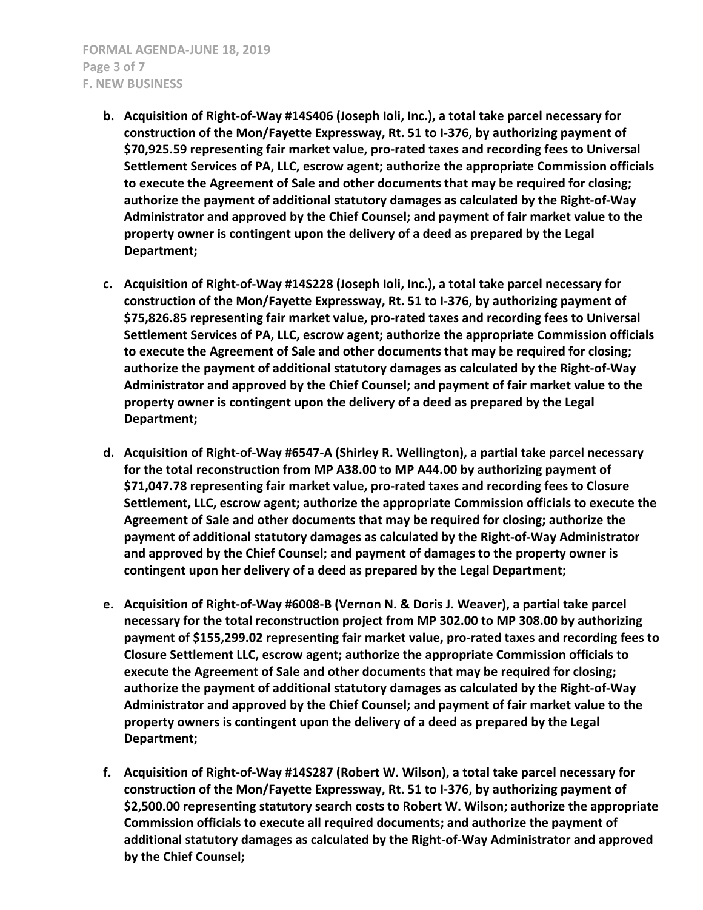- **b. Acquisition of Right-of-Way #14S406 (Joseph Ioli, Inc.), a total take parcel necessary for construction of the Mon/Fayette Expressway, Rt. 51 to I-376, by authorizing payment of \$70,925.59 representing fair market value, pro-rated taxes and recording fees to Universal Settlement Services of PA, LLC, escrow agent; authorize the appropriate Commission officials to execute the Agreement of Sale and other documents that may be required for closing; authorize the payment of additional statutory damages as calculated by the Right-of-Way Administrator and approved by the Chief Counsel; and payment of fair market value to the property owner is contingent upon the delivery of a deed as prepared by the Legal Department;**
- **c. Acquisition of Right-of-Way #14S228 (Joseph Ioli, Inc.), a total take parcel necessary for construction of the Mon/Fayette Expressway, Rt. 51 to I-376, by authorizing payment of \$75,826.85 representing fair market value, pro-rated taxes and recording fees to Universal Settlement Services of PA, LLC, escrow agent; authorize the appropriate Commission officials to execute the Agreement of Sale and other documents that may be required for closing; authorize the payment of additional statutory damages as calculated by the Right-of-Way Administrator and approved by the Chief Counsel; and payment of fair market value to the property owner is contingent upon the delivery of a deed as prepared by the Legal Department;**
- **d. Acquisition of Right-of-Way #6547-A (Shirley R. Wellington), a partial take parcel necessary for the total reconstruction from MP A38.00 to MP A44.00 by authorizing payment of \$71,047.78 representing fair market value, pro-rated taxes and recording fees to Closure Settlement, LLC, escrow agent; authorize the appropriate Commission officials to execute the Agreement of Sale and other documents that may be required for closing; authorize the payment of additional statutory damages as calculated by the Right-of-Way Administrator and approved by the Chief Counsel; and payment of damages to the property owner is contingent upon her delivery of a deed as prepared by the Legal Department;**
- **e. Acquisition of Right-of-Way #6008-B (Vernon N. & Doris J. Weaver), a partial take parcel necessary for the total reconstruction project from MP 302.00 to MP 308.00 by authorizing payment of \$155,299.02 representing fair market value, pro-rated taxes and recording fees to Closure Settlement LLC, escrow agent; authorize the appropriate Commission officials to execute the Agreement of Sale and other documents that may be required for closing; authorize the payment of additional statutory damages as calculated by the Right-of-Way Administrator and approved by the Chief Counsel; and payment of fair market value to the property owners is contingent upon the delivery of a deed as prepared by the Legal Department;**
- **f. Acquisition of Right-of-Way #14S287 (Robert W. Wilson), a total take parcel necessary for construction of the Mon/Fayette Expressway, Rt. 51 to I-376, by authorizing payment of \$2,500.00 representing statutory search costs to Robert W. Wilson; authorize the appropriate Commission officials to execute all required documents; and authorize the payment of additional statutory damages as calculated by the Right-of-Way Administrator and approved by the Chief Counsel;**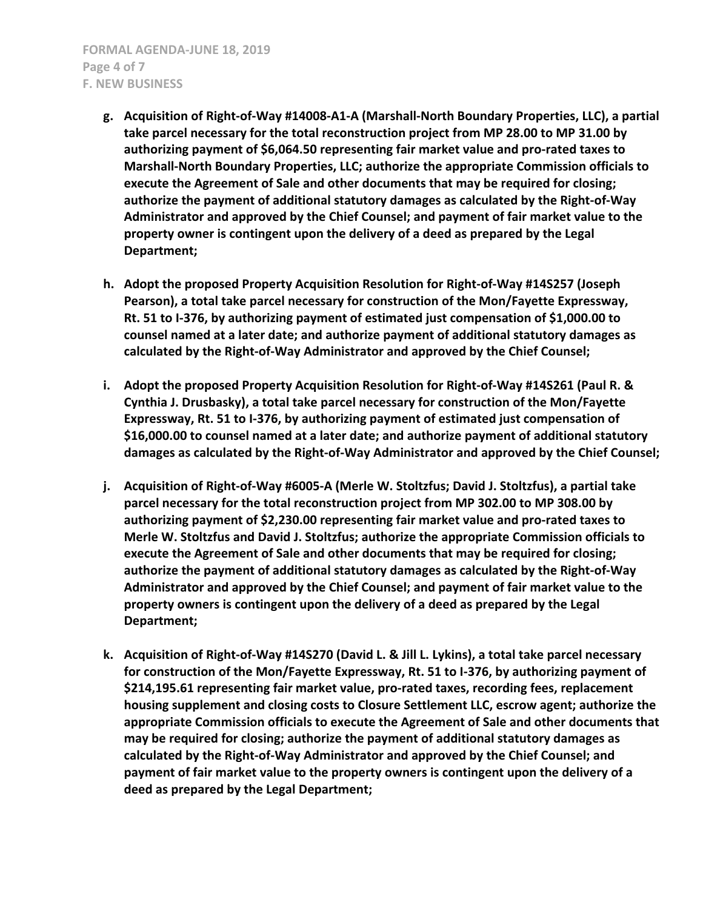- **g. Acquisition of Right-of-Way #14008-A1-A (Marshall-North Boundary Properties, LLC), a partial take parcel necessary for the total reconstruction project from MP 28.00 to MP 31.00 by authorizing payment of \$6,064.50 representing fair market value and pro-rated taxes to Marshall-North Boundary Properties, LLC; authorize the appropriate Commission officials to execute the Agreement of Sale and other documents that may be required for closing; authorize the payment of additional statutory damages as calculated by the Right-of-Way Administrator and approved by the Chief Counsel; and payment of fair market value to the property owner is contingent upon the delivery of a deed as prepared by the Legal Department;**
- **h. Adopt the proposed Property Acquisition Resolution for Right-of-Way #14S257 (Joseph Pearson), a total take parcel necessary for construction of the Mon/Fayette Expressway, Rt. 51 to I-376, by authorizing payment of estimated just compensation of \$1,000.00 to counsel named at a later date; and authorize payment of additional statutory damages as calculated by the Right-of-Way Administrator and approved by the Chief Counsel;**
- **i. Adopt the proposed Property Acquisition Resolution for Right-of-Way #14S261 (Paul R. & Cynthia J. Drusbasky), a total take parcel necessary for construction of the Mon/Fayette Expressway, Rt. 51 to I-376, by authorizing payment of estimated just compensation of \$16,000.00 to counsel named at a later date; and authorize payment of additional statutory damages as calculated by the Right-of-Way Administrator and approved by the Chief Counsel;**
- **j. Acquisition of Right-of-Way #6005-A (Merle W. Stoltzfus; David J. Stoltzfus), a partial take parcel necessary for the total reconstruction project from MP 302.00 to MP 308.00 by authorizing payment of \$2,230.00 representing fair market value and pro-rated taxes to Merle W. Stoltzfus and David J. Stoltzfus; authorize the appropriate Commission officials to execute the Agreement of Sale and other documents that may be required for closing; authorize the payment of additional statutory damages as calculated by the Right-of-Way Administrator and approved by the Chief Counsel; and payment of fair market value to the property owners is contingent upon the delivery of a deed as prepared by the Legal Department;**
- **k. Acquisition of Right-of-Way #14S270 (David L. & Jill L. Lykins), a total take parcel necessary for construction of the Mon/Fayette Expressway, Rt. 51 to I-376, by authorizing payment of \$214,195.61 representing fair market value, pro-rated taxes, recording fees, replacement housing supplement and closing costs to Closure Settlement LLC, escrow agent; authorize the appropriate Commission officials to execute the Agreement of Sale and other documents that may be required for closing; authorize the payment of additional statutory damages as calculated by the Right-of-Way Administrator and approved by the Chief Counsel; and payment of fair market value to the property owners is contingent upon the delivery of a deed as prepared by the Legal Department;**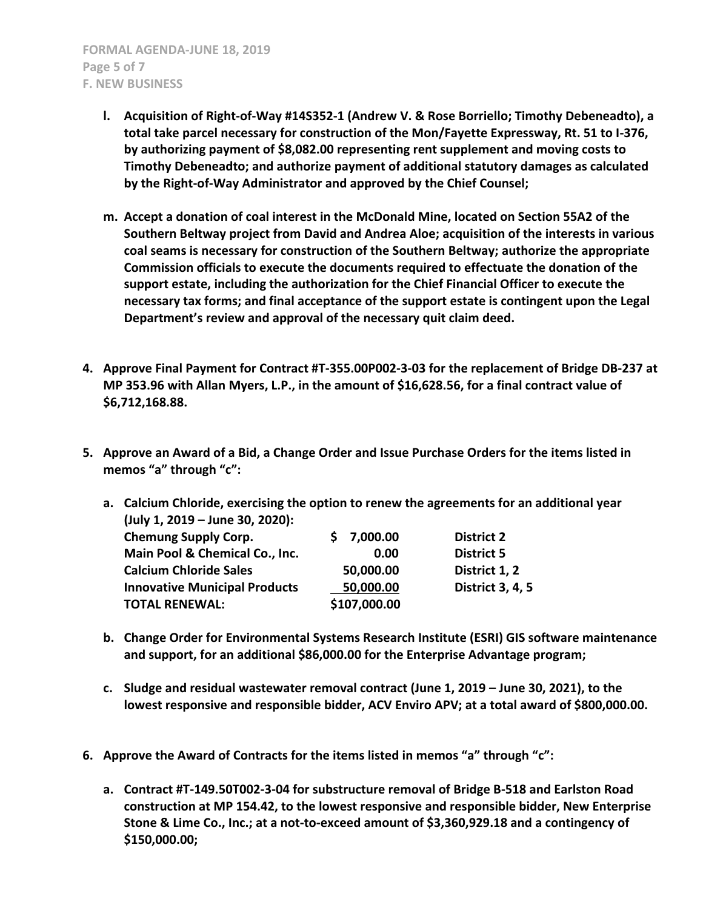- **l. Acquisition of Right-of-Way #14S352-1 (Andrew V. & Rose Borriello; Timothy Debeneadto), a total take parcel necessary for construction of the Mon/Fayette Expressway, Rt. 51 to I-376, by authorizing payment of \$8,082.00 representing rent supplement and moving costs to Timothy Debeneadto; and authorize payment of additional statutory damages as calculated by the Right-of-Way Administrator and approved by the Chief Counsel;**
- **m. Accept a donation of coal interest in the McDonald Mine, located on Section 55A2 of the Southern Beltway project from David and Andrea Aloe; acquisition of the interests in various coal seams is necessary for construction of the Southern Beltway; authorize the appropriate Commission officials to execute the documents required to effectuate the donation of the support estate, including the authorization for the Chief Financial Officer to execute the necessary tax forms; and final acceptance of the support estate is contingent upon the Legal Department's review and approval of the necessary quit claim deed.**
- **4. Approve Final Payment for Contract #T-355.00P002-3-03 for the replacement of Bridge DB-237 at MP 353.96 with Allan Myers, L.P., in the amount of \$16,628.56, for a final contract value of \$6,712,168.88.**
- **5. Approve an Award of a Bid, a Change Order and Issue Purchase Orders for the items listed in memos "a" through "c":**
	- **a. Calcium Chloride, exercising the option to renew the agreements for an additional year (July 1, 2019 – June 30, 2020): Chemung Supply Corp. \$ 7,000.00 District 2 Main Pool & Chemical Co., Inc. 0.00 District 5 Calcium Chloride Sales 50,000.00 District 1, 2 Innovative Municipal Products 50,000.00 District 3, 4, 5**
	- **b. Change Order for Environmental Systems Research Institute (ESRI) GIS software maintenance and support, for an additional \$86,000.00 for the Enterprise Advantage program;**
	- **c. Sludge and residual wastewater removal contract (June 1, 2019 – June 30, 2021), to the lowest responsive and responsible bidder, ACV Enviro APV; at a total award of \$800,000.00.**
- **6. Approve the Award of Contracts for the items listed in memos "a" through "c":**

**TOTAL RENEWAL: \$107,000.00**

**a. Contract #T-149.50T002-3-04 for substructure removal of Bridge B-518 and Earlston Road construction at MP 154.42, to the lowest responsive and responsible bidder, New Enterprise Stone & Lime Co., Inc.; at a not-to-exceed amount of \$3,360,929.18 and a contingency of \$150,000.00;**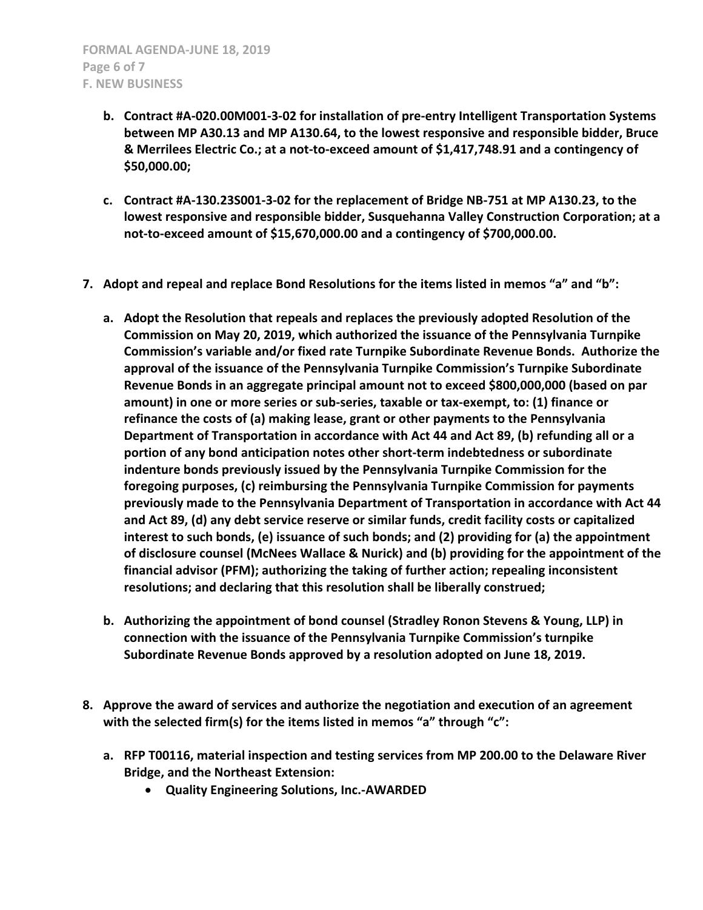- **b. Contract #A-020.00M001-3-02 for installation of pre-entry Intelligent Transportation Systems between MP A30.13 and MP A130.64, to the lowest responsive and responsible bidder, Bruce & Merrilees Electric Co.; at a not-to-exceed amount of \$1,417,748.91 and a contingency of \$50,000.00;**
- **c. Contract #A-130.23S001-3-02 for the replacement of Bridge NB-751 at MP A130.23, to the lowest responsive and responsible bidder, Susquehanna Valley Construction Corporation; at a not-to-exceed amount of \$15,670,000.00 and a contingency of \$700,000.00.**
- **7. Adopt and repeal and replace Bond Resolutions for the items listed in memos "a" and "b":**
	- **a. Adopt the Resolution that repeals and replaces the previously adopted Resolution of the Commission on May 20, 2019, which authorized the issuance of the Pennsylvania Turnpike Commission's variable and/or fixed rate Turnpike Subordinate Revenue Bonds. Authorize the approval of the issuance of the Pennsylvania Turnpike Commission's Turnpike Subordinate Revenue Bonds in an aggregate principal amount not to exceed \$800,000,000 (based on par amount) in one or more series or sub-series, taxable or tax-exempt, to: (1) finance or refinance the costs of (a) making lease, grant or other payments to the Pennsylvania Department of Transportation in accordance with Act 44 and Act 89, (b) refunding all or a portion of any bond anticipation notes other short-term indebtedness or subordinate indenture bonds previously issued by the Pennsylvania Turnpike Commission for the foregoing purposes, (c) reimbursing the Pennsylvania Turnpike Commission for payments previously made to the Pennsylvania Department of Transportation in accordance with Act 44 and Act 89, (d) any debt service reserve or similar funds, credit facility costs or capitalized interest to such bonds, (e) issuance of such bonds; and (2) providing for (a) the appointment of disclosure counsel (McNees Wallace & Nurick) and (b) providing for the appointment of the financial advisor (PFM); authorizing the taking of further action; repealing inconsistent resolutions; and declaring that this resolution shall be liberally construed;**
	- **b. Authorizing the appointment of bond counsel (Stradley Ronon Stevens & Young, LLP) in connection with the issuance of the Pennsylvania Turnpike Commission's turnpike Subordinate Revenue Bonds approved by a resolution adopted on June 18, 2019.**
- **8. Approve the award of services and authorize the negotiation and execution of an agreement with the selected firm(s) for the items listed in memos "a" through "c":**
	- **a. RFP T00116, material inspection and testing services from MP 200.00 to the Delaware River Bridge, and the Northeast Extension:**
		- **Quality Engineering Solutions, Inc.-AWARDED**